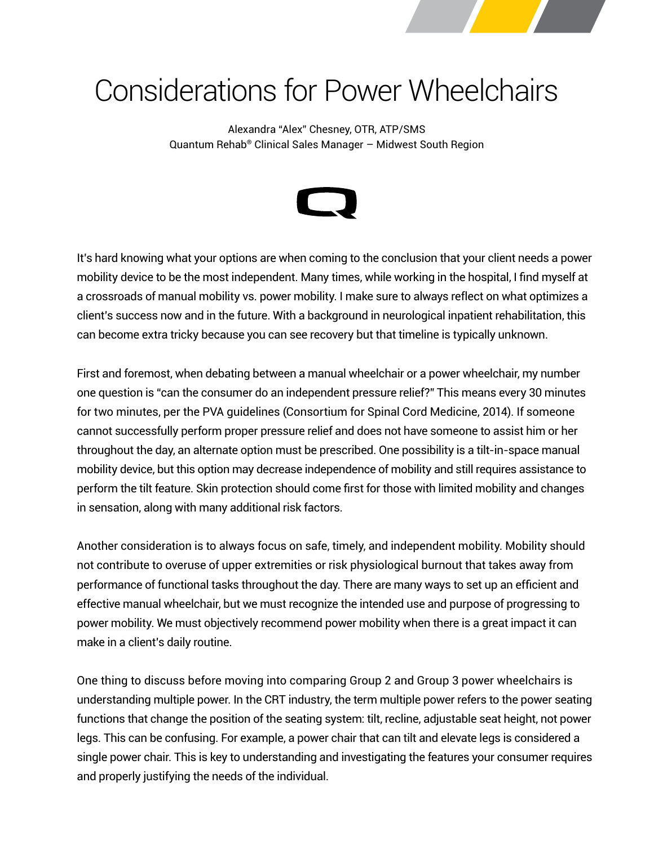

# Considerations for Power Wheelchairs

Alexandra "Alex" Chesney, OTR, ATP/SMS Quantum Rehab® Clinical Sales Manager – Midwest South Region



It's hard knowing what your options are when coming to the conclusion that your client needs a power mobility device to be the most independent. Many times, while working in the hospital, I find myself at a crossroads of manual mobility vs. power mobility. I make sure to always reflect on what optimizes a client's success now and in the future. With a background in neurological inpatient rehabilitation, this can become extra tricky because you can see recovery but that timeline is typically unknown.

First and foremost, when debating between a manual wheelchair or a power wheelchair, my number one question is "can the consumer do an independent pressure relief?" This means every 30 minutes for two minutes, per the PVA guidelines (Consortium for Spinal Cord Medicine, 2014). If someone cannot successfully perform proper pressure relief and does not have someone to assist him or her throughout the day, an alternate option must be prescribed. One possibility is a tilt-in-space manual mobility device, but this option may decrease independence of mobility and still requires assistance to perform the tilt feature. Skin protection should come first for those with limited mobility and changes in sensation, along with many additional risk factors.

Another consideration is to always focus on safe, timely, and independent mobility. Mobility should not contribute to overuse of upper extremities or risk physiological burnout that takes away from performance of functional tasks throughout the day. There are many ways to set up an efficient and effective manual wheelchair, but we must recognize the intended use and purpose of progressing to power mobility. We must objectively recommend power mobility when there is a great impact it can make in a client's daily routine.

One thing to discuss before moving into comparing Group 2 and Group 3 power wheelchairs is understanding multiple power. In the CRT industry, the term multiple power refers to the power seating functions that change the position of the seating system: tilt, recline, adjustable seat height, not power legs. This can be confusing. For example, a power chair that can tilt and elevate legs is considered a single power chair. This is key to understanding and investigating the features your consumer requires and properly justifying the needs of the individual.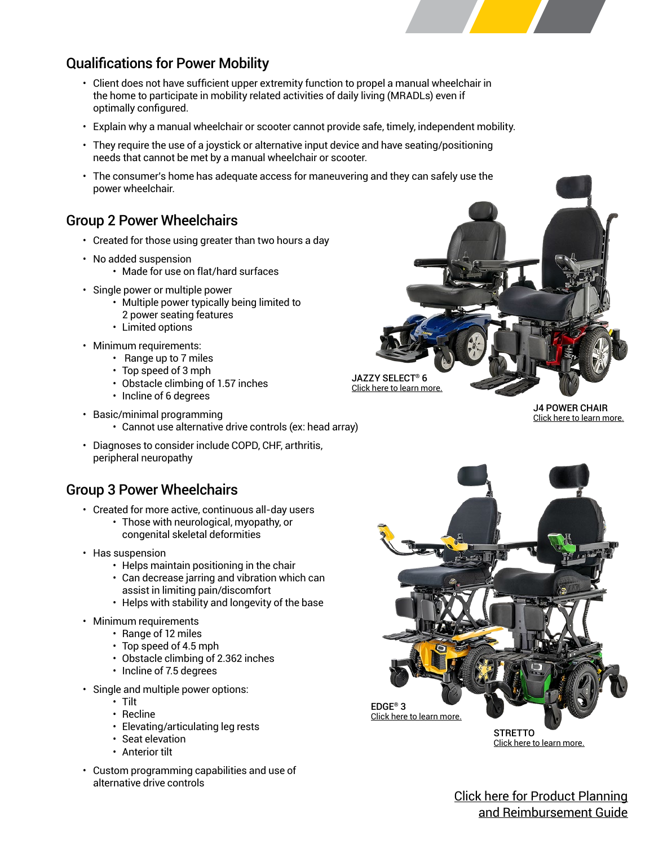### Qualifications for Power Mobility

- Client does not have sufficient upper extremity function to propel a manual wheelchair in the home to participate in mobility related activities of daily living (MRADLs) even if optimally configured.
- Explain why a manual wheelchair or scooter cannot provide safe, timely, independent mobility.
- They require the use of a joystick or alternative input device and have seating/positioning needs that cannot be met by a manual wheelchair or scooter.
- The consumer's home has adequate access for maneuvering and they can safely use the power wheelchair.

#### Group 2 Power Wheelchairs

- Created for those using greater than two hours a day
- No added suspension
	- Made for use on flat/hard surfaces
- Single power or multiple power
	- Multiple power typically being limited to 2 power seating features
	- Limited options
- Minimum requirements:
	- Range up to 7 miles
	- Top speed of 3 mph
	- Obstacle climbing of 1.57 inches
	- Incline of 6 degrees
- Basic/minimal programming
	- Cannot use alternative drive controls (ex: head array)
- Diagnoses to consider include COPD, CHF, arthritis, peripheral neuropathy

#### Group 3 Power Wheelchairs

- Created for more active, continuous all-day users
	- Those with neurological, myopathy, or congenital skeletal deformities
- Has suspension
	- Helps maintain positioning in the chair
	- Can decrease jarring and vibration which can assist in limiting pain/discomfort
	- Helps with stability and longevity of the base
- Minimum requirements
	- Range of 12 miles
	- Top speed of 4.5 mph
	- Obstacle climbing of 2.362 inches
	- Incline of 7.5 degrees
- Single and multiple power options:
	- Tilt
	- Recline
	- Elevating/articulating leg rests
	- Seat elevation
	- Anterior tilt
- Custom programming capabilities and use of alternative drive controls

[JAZZY SELECT](https://www.pridemobility.com/jazzy-power-chairs/jazzy-select-6/)® 6 [Click here to learn more.](https://www.pridemobility.com/jazzy-power-chairs/jazzy-select-6/)

> [J4 POWER CHAIR](https://www.quantumrehab.com/quantum-power-bases/j4.asp) [Click here to learn more.](https://www.quantumrehab.com/quantum-power-bases/j4.asp)



[Click here to learn more.](https://www.quantumrehab.com/quantum-power-bases/edge-3-stretto.asp)

[Click here for Product Planning](https://www.quantumrehab.com/pdf/clinical-resources/quantum_product_planning_reimbursement_guide.pdf) [and Reimbursement Guide](https://www.quantumrehab.com/pdf/clinical-resources/quantum_product_planning_reimbursement_guide.pdf)